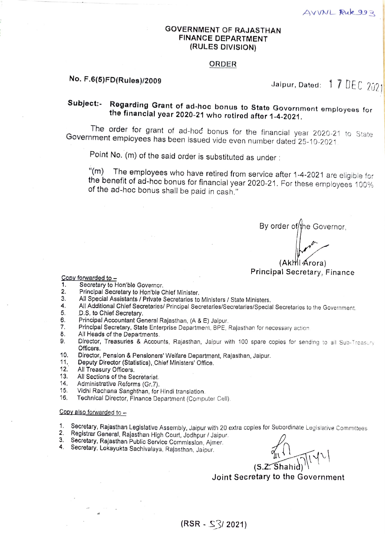### GOVERNMENT OF RAJASTHAN FINANCE DEPARTMENT (RULES DIVISION)

### ORDER

# No. F.6(5)FD(Rules)/2009  $\,$  Jaipur, Dated: 17 DEC 2021

## Subject: Regarding Grant of ad-hoc bonus to State Govornment employees for the financial year 2020-21 who rotirod aftor 1-4-2021.

The order for grant of ad-hod bonus for the financial year 2020-21 to State Government employees has been issued vide even number dated 25-10-2021.

Point No. (m) of the said order is substituted as under :

"(m) The employees who have retired from service after 1-4-2021 are eligible for the benefit of ad-hoc bonus for financial year 2020-21. For these employees 100% of the ad-hoc bonus shall be paid in cash."

By order of/the Governor,

# (AkthilArora) Principal Secretary, Finance

Copy forwarded to -

- Secretary to Hon'ble Governor. .
- Princlpal Secretary to Hon'ble Chief Minister. 2.
- All Special Assistants / Prlvate Secretaries to Ministers/ State Ministers. 3.
- 4. All Additional Chlef Secretaries/ Principal Secretaries/Secretaries/Special Secretaries to the Government.
- 5. D.S. to Chief Secretary
- 6. Principal Accountant General Rajasthan, (A & E) Jalpur
- Principal Secretary, State Enterprise Department, BPE, Rajasthan for necessary action 7.
- All Heads of the Departments. 8.
- 9. Director, Treasuries & Accounts, Rajasthan, Jaipur with 100 spare copies for sending to all Sub-Treasury Officers.
- 10. Director, Penslon & Pensioners' Welfare Department, Rajasthan, Jaipur.<br>11. Deputy Director (Statistics), Chief Ministers' Office.<br>12. All Treasury Officers. 10.
- Deputy Director (Statistics), Chief Minlsters' Office.
- 12. All Treasury Officers.<br>13. All Sections of the Se
- 13. All Sections of the Secretariat.<br>14. Administrative Reforms (Gr. 7).
- 14. Administrative Reforms (Gr.7).<br>15. Vidhi Rachana Sanghthan, for
- 15. Vidhi Rachana Sanghthan, for Hindi translation.<br>16. Technical Director, Finance Department (Compi
- Technical Director, Finance Department (Computer Cell).

### Copy also forwarded to

- 1. Secretary, Rajasthan Legislative Assembly, Jaipur with 20 extra coples for Subordinate Legislative Committees.
- 2. Registrar General, Rajasthan High Court, Jodhpur / Jaipur.<br>3. Secretary, Rajasthan Public Service Commission, Ajmer.
- 
- 4. Secretary, Lokayukta Sachivalaya, Rajasthan, Jaipur.

 $(5.2.5hahid)$ 

Joint Secretary to the Government

### $(RSR - S<sup>2</sup>/2021)$